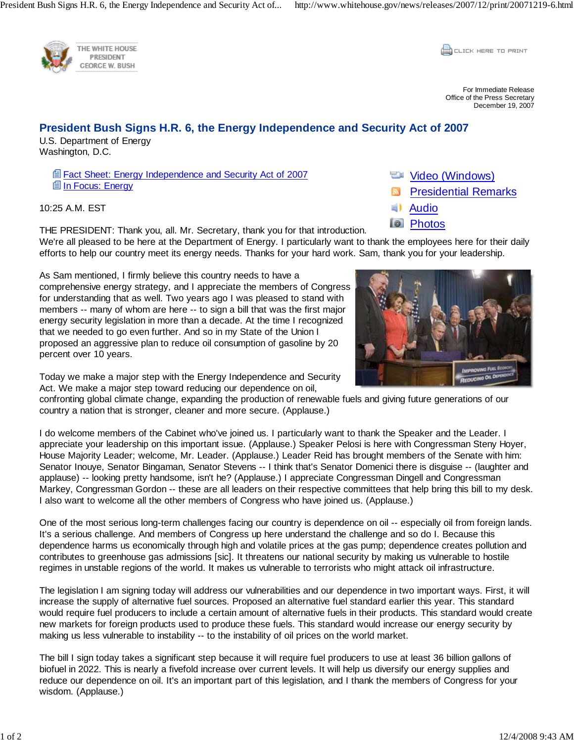

THE WHITE HOUSE PRESIDENT **GEORGE W. BUSH** 

**CONCRETE PRINT** 

For Immediate Release Office of the Press Secretary December 19, 2007

## **President Bush Signs H.R. 6, the Energy Independence and Security Act of 2007**

U.S. Department of Energy Washington, D.C.

> **Fact Sheet: Energy Independence and Security Act of 2007 In Focus: Energy**

10:25 A.M. EST

THE PRESIDENT: Thank you, all. Mr. Secretary, thank you for that introduction. We're all pleased to be here at the Department of Energy. I particularly want to thank the employees here for their daily efforts to help our country meet its energy needs. Thanks for your hard work. Sam, thank you for your leadership.

As Sam mentioned, I firmly believe this country needs to have a comprehensive energy strategy, and I appreciate the members of Congress for understanding that as well. Two years ago I was pleased to stand with members -- many of whom are here -- to sign a bill that was the first major energy security legislation in more than a decade. At the time I recognized that we needed to go even further. And so in my State of the Union I proposed an aggressive plan to reduce oil consumption of gasoline by 20 percent over 10 years.

- Video (Windows)
- Presidential Remarks
- Audio
- **Photos**



Today we make a major step with the Energy Independence and Security Act. We make a major step toward reducing our dependence on oil,

confronting global climate change, expanding the production of renewable fuels and giving future generations of our country a nation that is stronger, cleaner and more secure. (Applause.)

I do welcome members of the Cabinet who've joined us. I particularly want to thank the Speaker and the Leader. I appreciate your leadership on this important issue. (Applause.) Speaker Pelosi is here with Congressman Steny Hoyer, House Majority Leader; welcome, Mr. Leader. (Applause.) Leader Reid has brought members of the Senate with him: Senator Inouye, Senator Bingaman, Senator Stevens -- I think that's Senator Domenici there is disguise -- (laughter and applause) -- looking pretty handsome, isn't he? (Applause.) I appreciate Congressman Dingell and Congressman Markey, Congressman Gordon -- these are all leaders on their respective committees that help bring this bill to my desk. I also want to welcome all the other members of Congress who have joined us. (Applause.)

One of the most serious long-term challenges facing our country is dependence on oil -- especially oil from foreign lands. It's a serious challenge. And members of Congress up here understand the challenge and so do I. Because this dependence harms us economically through high and volatile prices at the gas pump; dependence creates pollution and contributes to greenhouse gas admissions [sic]. It threatens our national security by making us vulnerable to hostile regimes in unstable regions of the world. It makes us vulnerable to terrorists who might attack oil infrastructure.

The legislation I am signing today will address our vulnerabilities and our dependence in two important ways. First, it will increase the supply of alternative fuel sources. Proposed an alternative fuel standard earlier this year. This standard would require fuel producers to include a certain amount of alternative fuels in their products. This standard would create new markets for foreign products used to produce these fuels. This standard would increase our energy security by making us less vulnerable to instability -- to the instability of oil prices on the world market.

The bill I sign today takes a significant step because it will require fuel producers to use at least 36 billion gallons of biofuel in 2022. This is nearly a fivefold increase over current levels. It will help us diversify our energy supplies and reduce our dependence on oil. It's an important part of this legislation, and I thank the members of Congress for your wisdom. (Applause.)